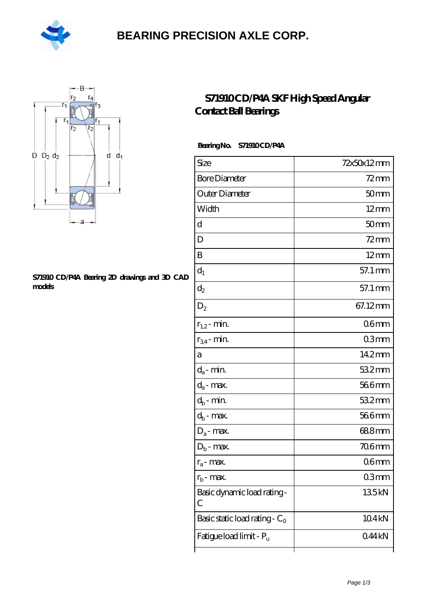

## **[BEARING PRECISION AXLE CORP.](https://m.hilalanaokulu.com)**



#### **[S71910 CD/P4A Bearing 2D drawings and 3D CAD](https://m.hilalanaokulu.com/pic-660562.html) [models](https://m.hilalanaokulu.com/pic-660562.html)**

### **[S71910 CD/P4A SKF High Speed Angular](https://m.hilalanaokulu.com/skf-bearings/s71910-cd-p4a.html) [Contact Ball Bearings](https://m.hilalanaokulu.com/skf-bearings/s71910-cd-p4a.html)**

### **Bearing No. S71910 CD/P4A**

| Size                             | 72x50x12mm        |
|----------------------------------|-------------------|
| <b>Bore Diameter</b>             | $72$ mm           |
| Outer Diameter                   | 50 <sub>mm</sub>  |
| Width                            | $12 \text{mm}$    |
| d                                | 50 <sub>mm</sub>  |
| D                                | $72$ mm           |
| B                                | $12 \text{mm}$    |
| $d_1$                            | 57.1 mm           |
| $\mathrm{d}_2$                   | 57.1 mm           |
| $D_2$                            | 67.12mm           |
| $r_{1,2}$ - min.                 | 06 <sub>mm</sub>  |
| $r_{34}$ - min.                  | 03 <sub>mm</sub>  |
| а                                | 14.2mm            |
| $d_a$ - min.                     | 532mm             |
| $d_{\rm a}$ - max.               | 566mm             |
| $d_b$ - min.                     | 532mm             |
| $d_b$ - max.                     | 566mm             |
| $D_a$ - max.                     | 688mm             |
| $D_b$ - max.                     | $706$ mm          |
| $r_a$ - max.                     | 06 <sub>mm</sub>  |
| $r_{\rm b}$ - max.               | 03mm              |
| Basic dynamic load rating-<br>С  | 135kN             |
| Basic static load rating - $C_0$ | 104 <sub>kN</sub> |
| Fatigue load limit - Pu          | 044kN             |
|                                  |                   |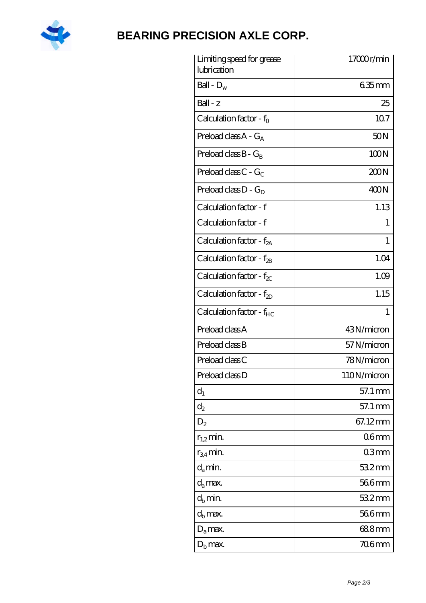

# **[BEARING PRECISION AXLE CORP.](https://m.hilalanaokulu.com)**

| Limiting speed for grease<br>lubrication | 17000r/min       |
|------------------------------------------|------------------|
| Ball - $D_w$                             | $635$ mm         |
| $Ball - z$                               | 25               |
| Calculation factor - f <sub>o</sub>      | 107              |
| Preload class $A - G_A$                  | 50N              |
| Preload class $B - G_B$                  | 100N             |
| Preload class C - $G_C$                  | 200N             |
| Preload class $D - G_D$                  | 400N             |
| Calculation factor - f                   | 1.13             |
| Calculation factor - f                   | T                |
| Calculation factor - $f_{2A}$            | 1                |
| Calculation factor - $f_{2B}$            | 1.04             |
| Calculation factor - $f_{\chi}$          | 1.09             |
| Calculation factor - $f_{2D}$            | 1.15             |
| Calculation factor - f <sub>HC</sub>     | 1                |
| Preload class A                          | 43N/micron       |
| Preload class B                          | 57N/micron       |
| Preload class C                          | 78N/micron       |
| Preload class D                          | 110N/micron      |
| $d_1$                                    | 57.1 mm          |
| $\mathrm{d}_2$                           | 57.1 mm          |
| $D_2$                                    | 67.12mm          |
| $r_{1,2}$ min.                           | 06 <sub>mm</sub> |
| $r_{34}$ min.                            | 03mm             |
| $d_a$ min.                               | $532$ mm         |
| $d_a$ max.                               | 566mm            |
| $d_b$ min.                               | 532mm            |
| $d_h$ max.                               | 566mm            |
| $D_a$ max.                               | 688mm            |
| $D_{\rm b}$ max.                         | 706mm            |